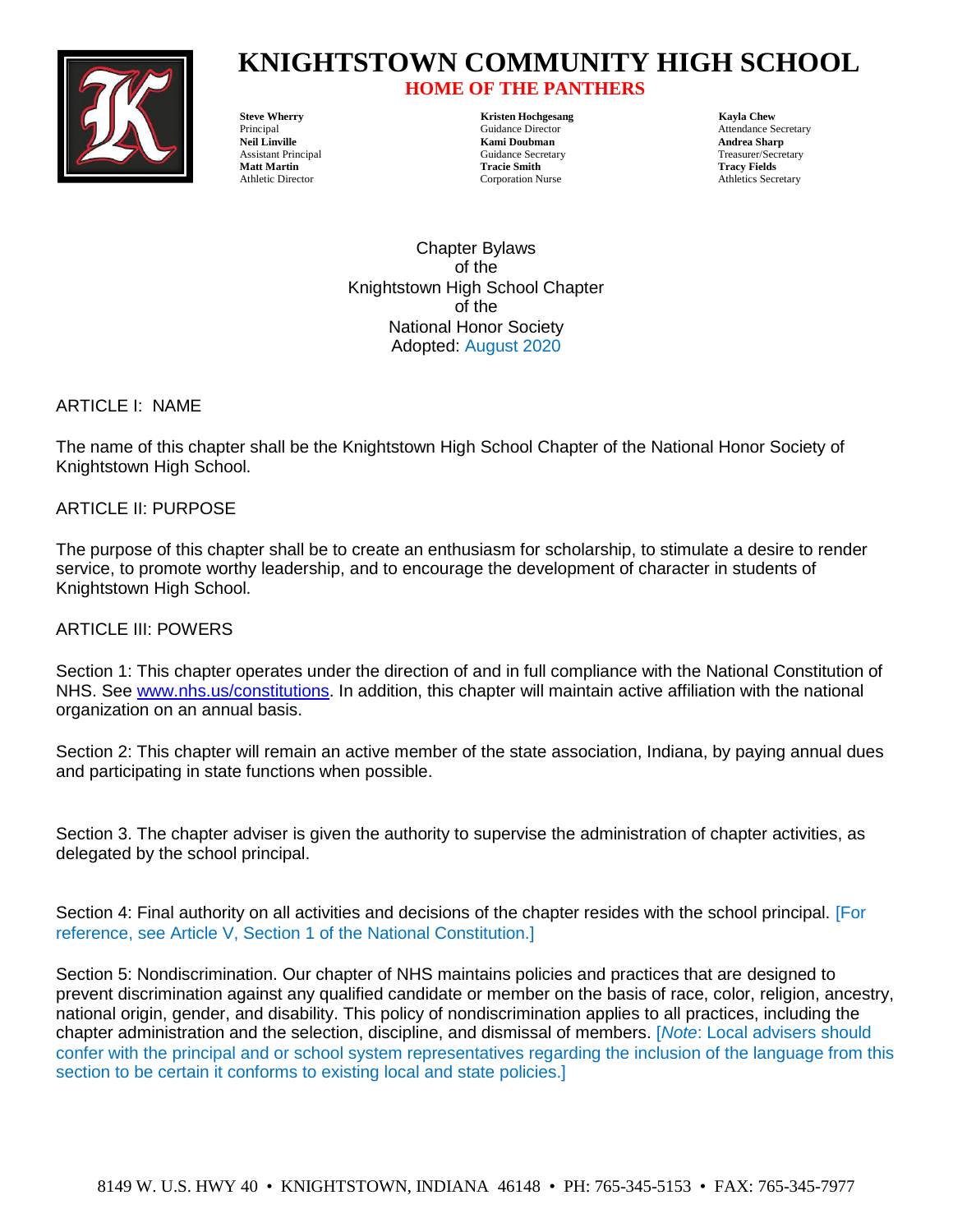

## **HOME OF THE PANTHERS**

**Steve Wherry Kristen Hochgesang Kayla Chew Kami Doubman Andrea Sharp Matt Martin Tracie Smith Tracy Fields**

Principal Cuidance Director Cuidance Director Attendance Secretary<br>
Neil Linville Mami Doubman Andrea Sharn<br>
Andrea Sharn Assistant Principal Guidance Secretary Treasurer/Secretary Athletic Director Corporation Nurse Athletics Secretary

> Chapter Bylaws of the Knightstown High School Chapter of the National Honor Society Adopted: August 2020

ARTICLE I: NAME

The name of this chapter shall be the Knightstown High School Chapter of the National Honor Society of Knightstown High School.

ARTICLE II: PURPOSE

The purpose of this chapter shall be to create an enthusiasm for scholarship, to stimulate a desire to render service, to promote worthy leadership, and to encourage the development of character in students of Knightstown High School.

ARTICLE III: POWERS

Section 1: This chapter operates under the direction of and in full compliance with the National Constitution of NHS. See [www.nhs.us/constitutions.](http://www.nhs.us/constitutions) In addition, this chapter will maintain active affiliation with the national organization on an annual basis.

Section 2: This chapter will remain an active member of the state association, Indiana, by paying annual dues and participating in state functions when possible.

Section 3. The chapter adviser is given the authority to supervise the administration of chapter activities, as delegated by the school principal.

Section 4: Final authority on all activities and decisions of the chapter resides with the school principal. [For reference, see Article V, Section 1 of the National Constitution.]

Section 5: Nondiscrimination. Our chapter of NHS maintains policies and practices that are designed to prevent discrimination against any qualified candidate or member on the basis of race, color, religion, ancestry, national origin, gender, and disability. This policy of nondiscrimination applies to all practices, including the chapter administration and the selection, discipline, and dismissal of members. [*Note*: Local advisers should confer with the principal and or school system representatives regarding the inclusion of the language from this section to be certain it conforms to existing local and state policies.]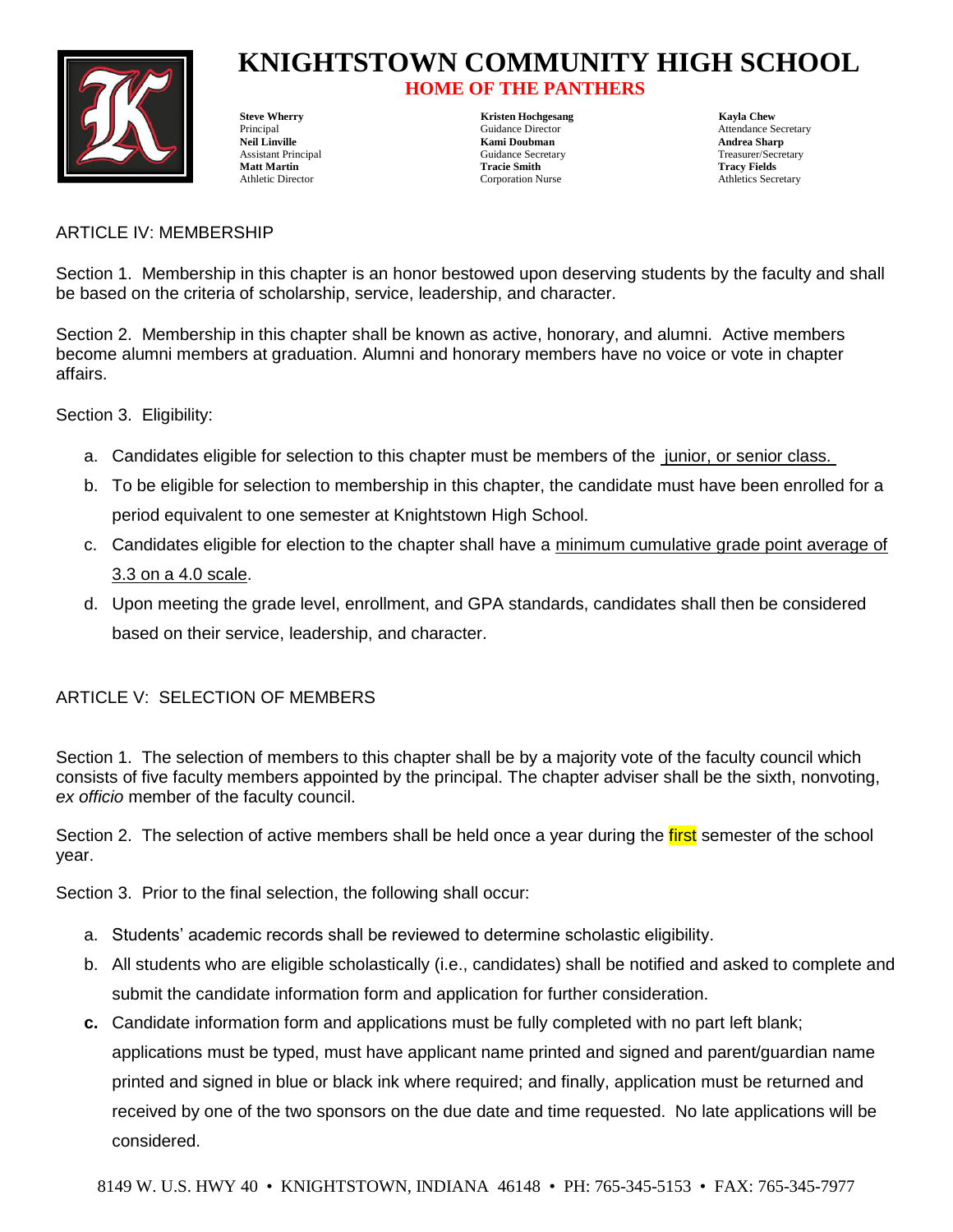

## **HOME OF THE PANTHERS**

**Steve Wherry Example 2018** Steve Wherry Kayla Chew

**Neil Linville Kami Doubman Andrea Sharp** Assistant Principal **Assistant Principal Culture** Guidance Secretary **Treasurer/Secretary** Treasurer/Secretary **Matt Martin Tracie Smith Tracy Fields** Athletic Director Corporation Nurse Athletics Secretary

Principal Cuidance Director Attendance Secretary Attendance Secretary

#### ARTICLE IV: MEMBERSHIP

Section 1. Membership in this chapter is an honor bestowed upon deserving students by the faculty and shall be based on the criteria of scholarship, service, leadership, and character.

Section 2. Membership in this chapter shall be known as active, honorary, and alumni. Active members become alumni members at graduation. Alumni and honorary members have no voice or vote in chapter affairs.

Section 3. Eligibility:

- a. Candidates eligible for selection to this chapter must be members of the junior, or senior class.
- b. To be eligible for selection to membership in this chapter, the candidate must have been enrolled for a period equivalent to one semester at Knightstown High School.
- c. Candidates eligible for election to the chapter shall have a minimum cumulative grade point average of 3.3 on a 4.0 scale.
- d. Upon meeting the grade level, enrollment, and GPA standards, candidates shall then be considered based on their service, leadership, and character.

### ARTICLE V: SELECTION OF MEMBERS

Section 1. The selection of members to this chapter shall be by a majority vote of the faculty council which consists of five faculty members appointed by the principal. The chapter adviser shall be the sixth, nonvoting, *ex officio* member of the faculty council.

Section 2. The selection of active members shall be held once a year during the *first* semester of the school year.

Section 3. Prior to the final selection, the following shall occur:

- a. Students' academic records shall be reviewed to determine scholastic eligibility.
- b. All students who are eligible scholastically (i.e., candidates) shall be notified and asked to complete and submit the candidate information form and application for further consideration.
- **c.** Candidate information form and applications must be fully completed with no part left blank; applications must be typed, must have applicant name printed and signed and parent/guardian name printed and signed in blue or black ink where required; and finally, application must be returned and received by one of the two sponsors on the due date and time requested. No late applications will be considered.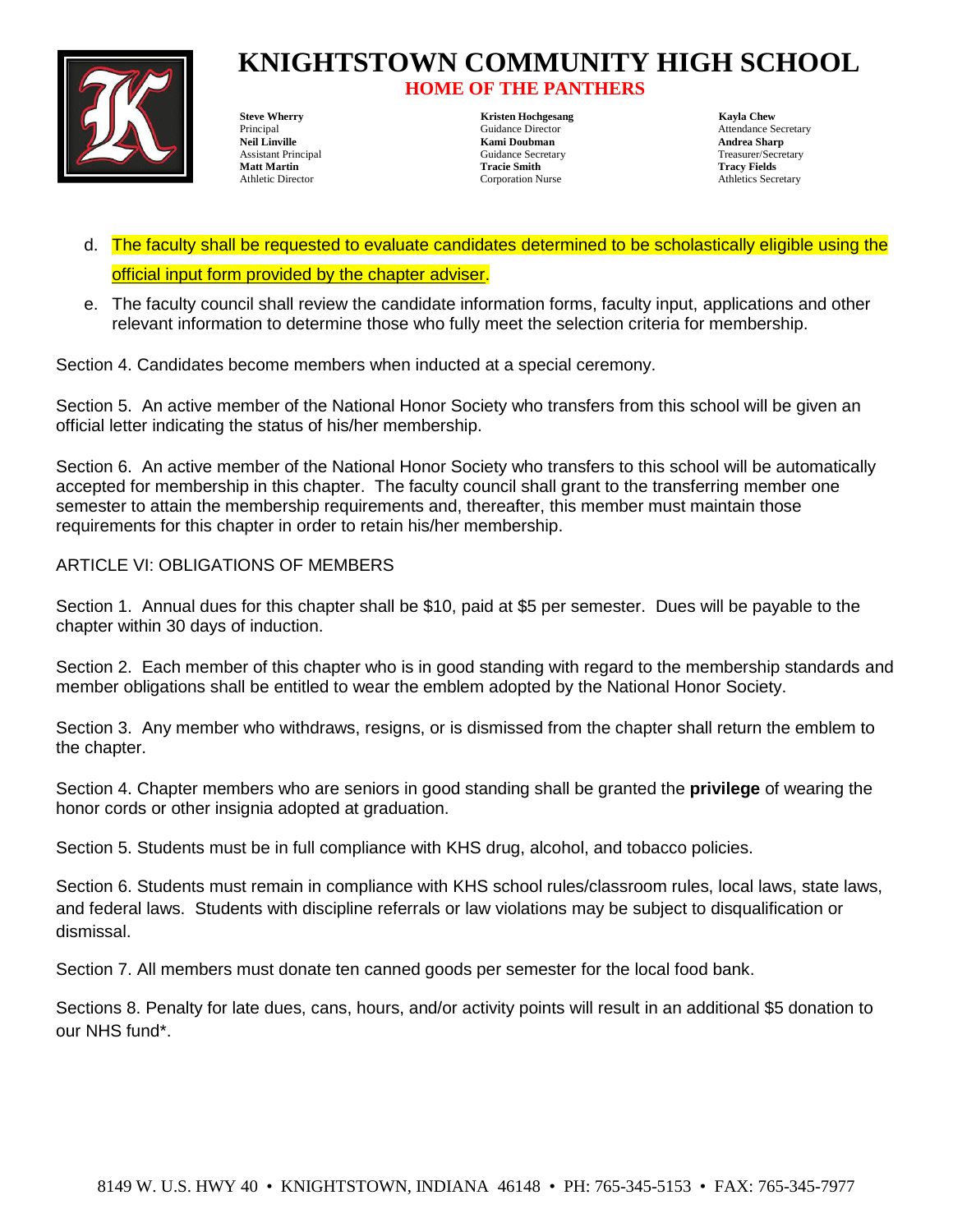

## **HOME OF THE PANTHERS**

**Steve Wherry Chemical Chemical Chemical Chemical Chemical Chemical Chemical Chemical Chemical Chemical Chemical Chemical Chemical Chemical Chemical Chemical Chemical Chemical Chemical Chemical Chemical Chemical Chemical C Kami Doubman Andrea Sharp** Assistant Principal **Assistant Principal Culturer** Guidance Secretary **Treasurer/Secretary** Treasurer/Secretary **Matt Martin Tracie Smith Tracy Fields** Athletic Director Corporation Nurse Athletics Secretary

Principal Cuidance Director Cuidance Director Attendance Secretary<br>
Neil Linville Mami Doubman Andrea Sharn<br>
Andrea Sharn

- d. The faculty shall be requested to evaluate candidates determined to be scholastically eligible using the official input form provided by the chapter adviser.
- e. The faculty council shall review the candidate information forms, faculty input, applications and other relevant information to determine those who fully meet the selection criteria for membership.

Section 4. Candidates become members when inducted at a special ceremony.

Section 5. An active member of the National Honor Society who transfers from this school will be given an official letter indicating the status of his/her membership.

Section 6. An active member of the National Honor Society who transfers to this school will be automatically accepted for membership in this chapter. The faculty council shall grant to the transferring member one semester to attain the membership requirements and, thereafter, this member must maintain those requirements for this chapter in order to retain his/her membership.

ARTICLE VI: OBLIGATIONS OF MEMBERS

Section 1. Annual dues for this chapter shall be \$10, paid at \$5 per semester. Dues will be payable to the chapter within 30 days of induction.

Section 2. Each member of this chapter who is in good standing with regard to the membership standards and member obligations shall be entitled to wear the emblem adopted by the National Honor Society.

Section 3. Any member who withdraws, resigns, or is dismissed from the chapter shall return the emblem to the chapter.

Section 4. Chapter members who are seniors in good standing shall be granted the **privilege** of wearing the honor cords or other insignia adopted at graduation.

Section 5. Students must be in full compliance with KHS drug, alcohol, and tobacco policies.

Section 6. Students must remain in compliance with KHS school rules/classroom rules, local laws, state laws, and federal laws. Students with discipline referrals or law violations may be subject to disqualification or dismissal.

Section 7. All members must donate ten canned goods per semester for the local food bank.

Sections 8. Penalty for late dues, cans, hours, and/or activity points will result in an additional \$5 donation to our NHS fund\*.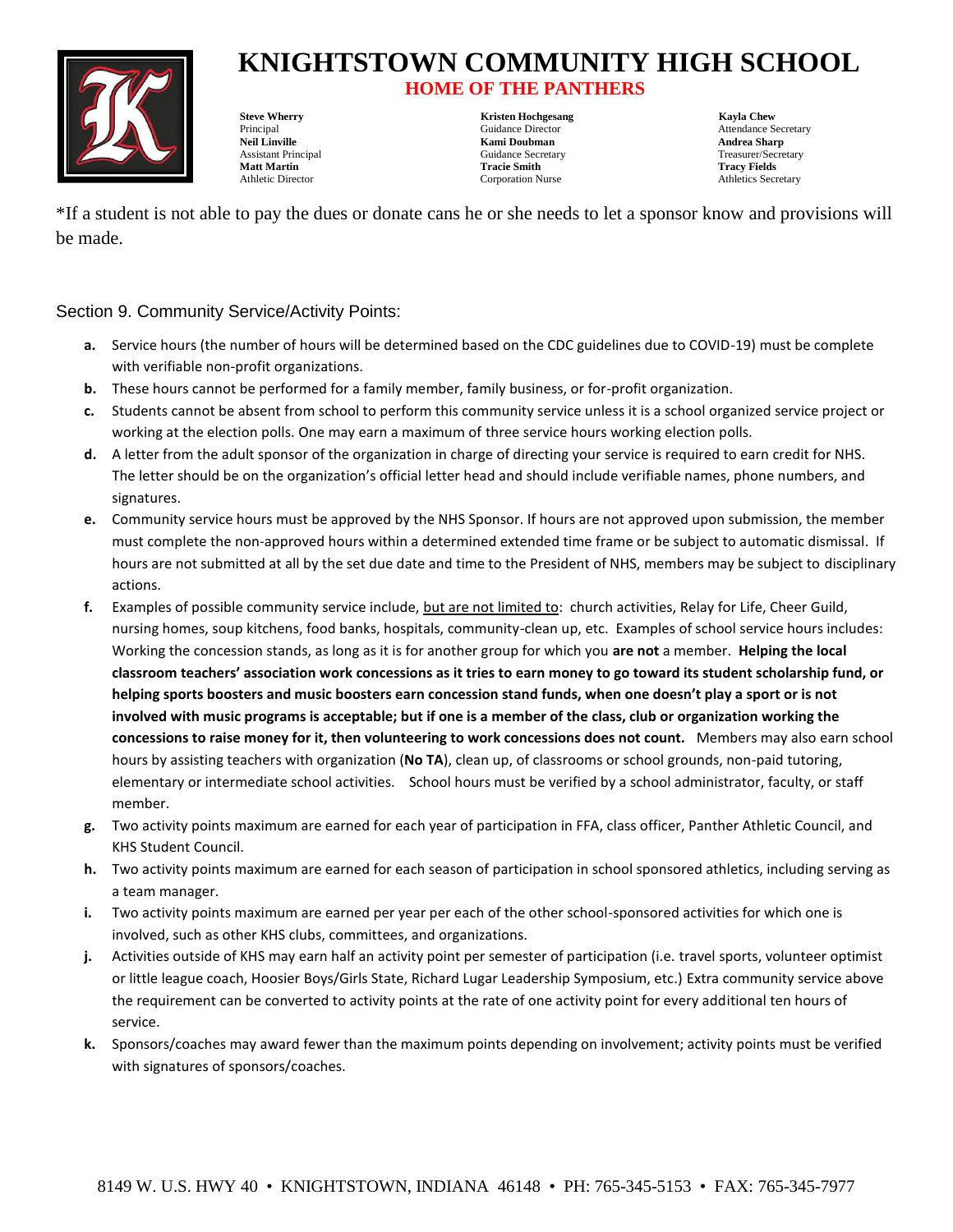

## **HOME OF THE PANTHERS**

**Neil Linville New York Community Community Community Community Community Community Community Community Community Community Andrea Sharp**<br>
Andrea Sharp<br>
Andrea Sharp Community Community Community Community Community Commun Assistant Principal **Assistant Principal Culturer** Guidance Secretary **Treasurer/Secretary** Treasurer/Secretary **Matt Martin Tracie Smith Tracy Fields** Athletic Director Corporation Nurse Athletics Secretary

**Steve Wherry Chemical Chemical Chemical Chemical Chemical Chemical Chemical Chemical Chemical Chemical Chemical Chemical Chemical Chemical Chemical Chemical Chemical Chemical Chemical Chemical Chemical Chemical Chemical C** 

Principal Cuidance Director Cuidance Director Attendance Secretary

\*If a student is not able to pay the dues or donate cans he or she needs to let a sponsor know and provisions will be made.

#### Section 9. Community Service/Activity Points:

- **a.** Service hours (the number of hours will be determined based on the CDC guidelines due to COVID-19) must be complete with verifiable non-profit organizations.
- **b.** These hours cannot be performed for a family member, family business, or for-profit organization.
- **c.** Students cannot be absent from school to perform this community service unless it is a school organized service project or working at the election polls. One may earn a maximum of three service hours working election polls.
- **d.** A letter from the adult sponsor of the organization in charge of directing your service is required to earn credit for NHS. The letter should be on the organization's official letter head and should include verifiable names, phone numbers, and signatures.
- **e.** Community service hours must be approved by the NHS Sponsor. If hours are not approved upon submission, the member must complete the non-approved hours within a determined extended time frame or be subject to automatic dismissal. If hours are not submitted at all by the set due date and time to the President of NHS, members may be subject to disciplinary actions.
- **f.** Examples of possible community service include, but are not limited to: church activities, Relay for Life, Cheer Guild, nursing homes, soup kitchens, food banks, hospitals, community-clean up, etc. Examples of school service hours includes: Working the concession stands, as long as it is for another group for which you **are not** a member. **Helping the local classroom teachers' association work concessions as it tries to earn money to go toward its student scholarship fund, or helping sports boosters and music boosters earn concession stand funds, when one doesn't play a sport or is not involved with music programs is acceptable; but if one is a member of the class, club or organization working the concessions to raise money for it, then volunteering to work concessions does not count.** Members may also earn school hours by assisting teachers with organization (**No TA**), clean up, of classrooms or school grounds, non-paid tutoring, elementary or intermediate school activities. School hours must be verified by a school administrator, faculty, or staff member.
- **g.** Two activity points maximum are earned for each year of participation in FFA, class officer, Panther Athletic Council, and KHS Student Council.
- **h.** Two activity points maximum are earned for each season of participation in school sponsored athletics, including serving as a team manager.
- **i.** Two activity points maximum are earned per year per each of the other school-sponsored activities for which one is involved, such as other KHS clubs, committees, and organizations.
- **j.** Activities outside of KHS may earn half an activity point per semester of participation (i.e. travel sports, volunteer optimist or little league coach, Hoosier Boys/Girls State, Richard Lugar Leadership Symposium, etc.) Extra community service above the requirement can be converted to activity points at the rate of one activity point for every additional ten hours of service.
- **k.** Sponsors/coaches may award fewer than the maximum points depending on involvement; activity points must be verified with signatures of sponsors/coaches.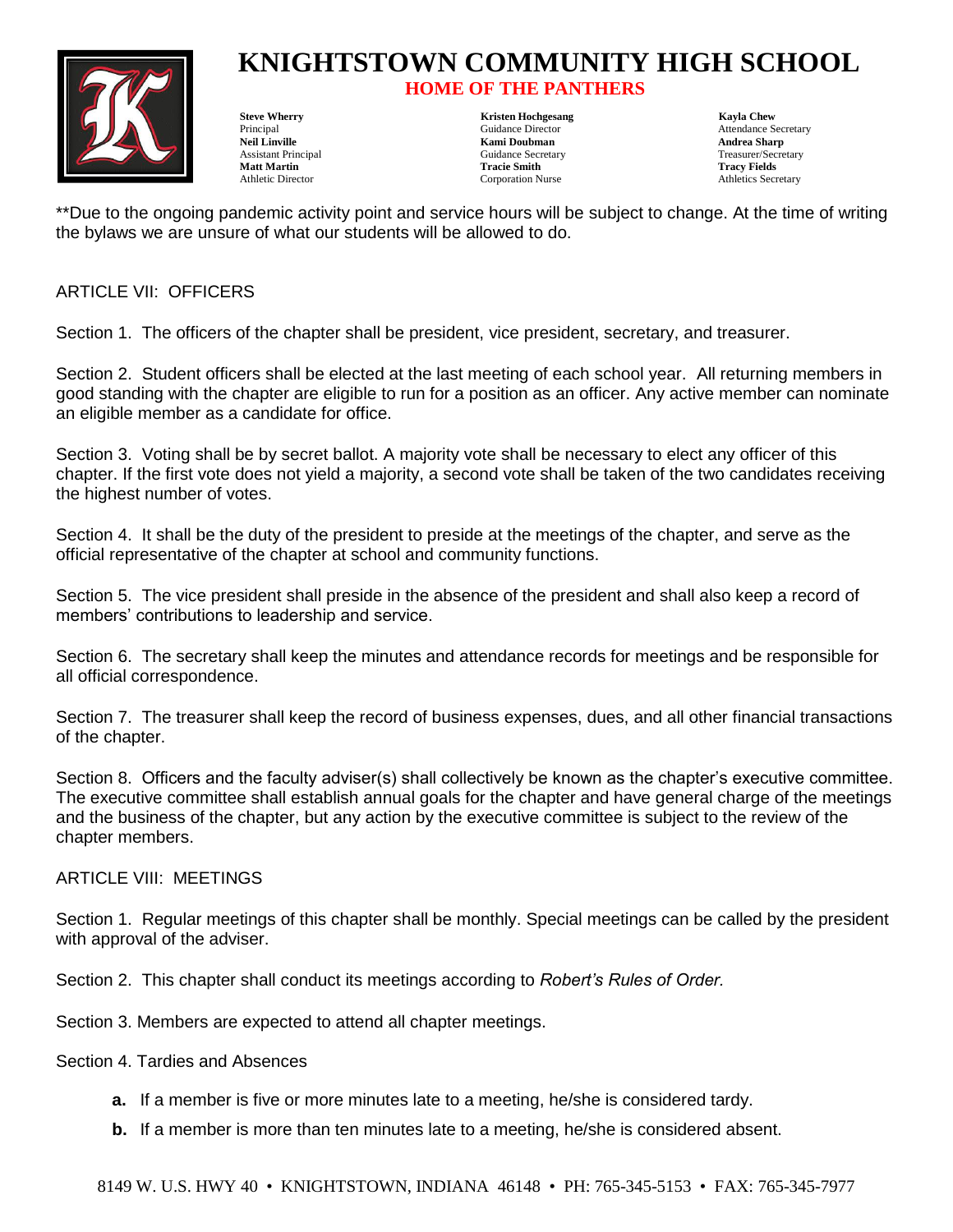

### **HOME OF THE PANTHERS**

Assistant Principal **Assistant Principal Culture** Guidance Secretary **Treasurer/Secretary** Treasurer/Secretary **Matt Martin Tracie Smith Tracy Fields** Athletic Director Corporation Nurse Athletics Secretary

**Steve Wherry Chemical Chemical Chemical Chemical Chemical Chemical Chemical Chemical Chemical Chemical Chemical Chemical Chemical Chemical Chemical Chemical Chemical Chemical Chemical Chemical Chemical Chemical Chemical C Kami Doubman Andrea Sharp** 

Principal Cuidance Director Cuidance Director Attendance Secretary<br>
Neil Linville Mami Doubman Andrea Sharn<br>
Andrea Sharn

\*\*Due to the ongoing pandemic activity point and service hours will be subject to change. At the time of writing the bylaws we are unsure of what our students will be allowed to do.

#### ARTICLE VII: OFFICERS

Section 1. The officers of the chapter shall be president, vice president, secretary, and treasurer.

Section 2. Student officers shall be elected at the last meeting of each school year. All returning members in good standing with the chapter are eligible to run for a position as an officer. Any active member can nominate an eligible member as a candidate for office.

Section 3. Voting shall be by secret ballot. A majority vote shall be necessary to elect any officer of this chapter. If the first vote does not yield a majority, a second vote shall be taken of the two candidates receiving the highest number of votes.

Section 4. It shall be the duty of the president to preside at the meetings of the chapter, and serve as the official representative of the chapter at school and community functions.

Section 5. The vice president shall preside in the absence of the president and shall also keep a record of members' contributions to leadership and service.

Section 6. The secretary shall keep the minutes and attendance records for meetings and be responsible for all official correspondence.

Section 7. The treasurer shall keep the record of business expenses, dues, and all other financial transactions of the chapter.

Section 8. Officers and the faculty adviser(s) shall collectively be known as the chapter's executive committee. The executive committee shall establish annual goals for the chapter and have general charge of the meetings and the business of the chapter, but any action by the executive committee is subject to the review of the chapter members.

#### ARTICLE VIII: MEETINGS

Section 1. Regular meetings of this chapter shall be monthly. Special meetings can be called by the president with approval of the adviser.

Section 2. This chapter shall conduct its meetings according to *Robert's Rules of Order.*

Section 3. Members are expected to attend all chapter meetings.

Section 4. Tardies and Absences

- **a.** If a member is five or more minutes late to a meeting, he/she is considered tardy.
- **b.** If a member is more than ten minutes late to a meeting, he/she is considered absent.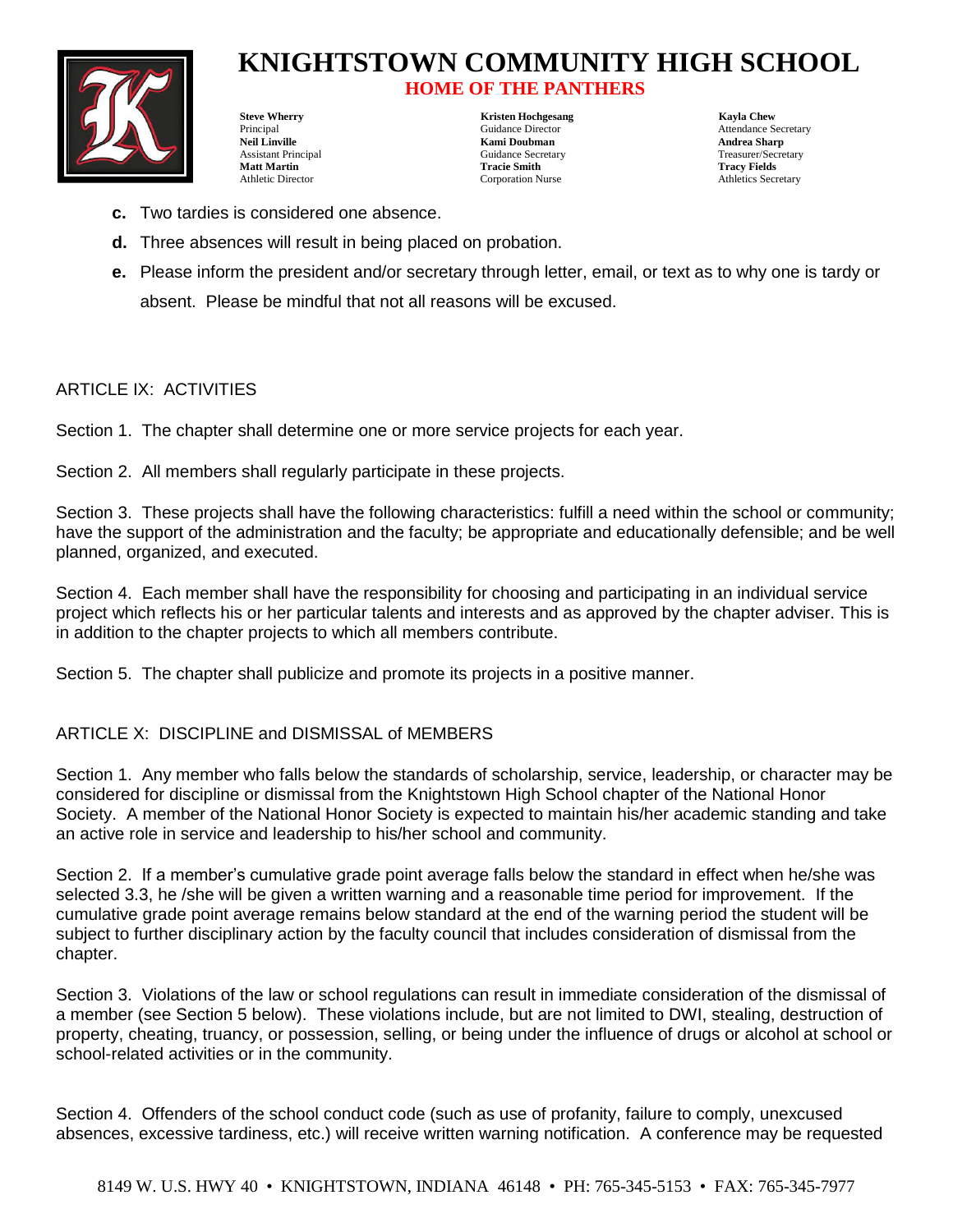

# **KNIGHTSTOWN COMMUNITY HIGH SCHOOL HOME OF THE PANTHERS**

**Steve Wherry Chemical Chemical Chemical Chemical Chemical Chemical Chemical Chemical Chemical Chemical Chemical Chemical Chemical Chemical Chemical Chemical Chemical Chemical Chemical Chemical Chemical Chemical Chemical C** Principal Cuidance Director Attendance Secretary Attendance Secretary **Neil Linville Kami Doubman Andrea Sharp** Assistant Principal **Assistant Principal Culturer** Guidance Secretary **Treasurer/Secretary** Treasurer/Secretary **Matt Martin Tracie Smith Tracy Fields** Athletic Director Corporation Nurse Athletics Secretary

- **c.** Two tardies is considered one absence.
- **d.** Three absences will result in being placed on probation.
- **e.** Please inform the president and/or secretary through letter, email, or text as to why one is tardy or absent. Please be mindful that not all reasons will be excused.

#### ARTICLE IX: ACTIVITIES

Section 1. The chapter shall determine one or more service projects for each year.

Section 2. All members shall regularly participate in these projects.

Section 3. These projects shall have the following characteristics: fulfill a need within the school or community; have the support of the administration and the faculty; be appropriate and educationally defensible; and be well planned, organized, and executed.

Section 4. Each member shall have the responsibility for choosing and participating in an individual service project which reflects his or her particular talents and interests and as approved by the chapter adviser. This is in addition to the chapter projects to which all members contribute.

Section 5. The chapter shall publicize and promote its projects in a positive manner.

#### ARTICLE X: DISCIPLINE and DISMISSAL of MEMBERS

Section 1. Any member who falls below the standards of scholarship, service, leadership, or character may be considered for discipline or dismissal from the Knightstown High School chapter of the National Honor Society. A member of the National Honor Society is expected to maintain his/her academic standing and take an active role in service and leadership to his/her school and community.

Section 2. If a member's cumulative grade point average falls below the standard in effect when he/she was selected 3.3, he /she will be given a written warning and a reasonable time period for improvement. If the cumulative grade point average remains below standard at the end of the warning period the student will be subject to further disciplinary action by the faculty council that includes consideration of dismissal from the chapter.

Section 3. Violations of the law or school regulations can result in immediate consideration of the dismissal of a member (see Section 5 below). These violations include, but are not limited to DWI, stealing, destruction of property, cheating, truancy, or possession, selling, or being under the influence of drugs or alcohol at school or school-related activities or in the community.

Section 4. Offenders of the school conduct code (such as use of profanity, failure to comply, unexcused absences, excessive tardiness, etc.) will receive written warning notification. A conference may be requested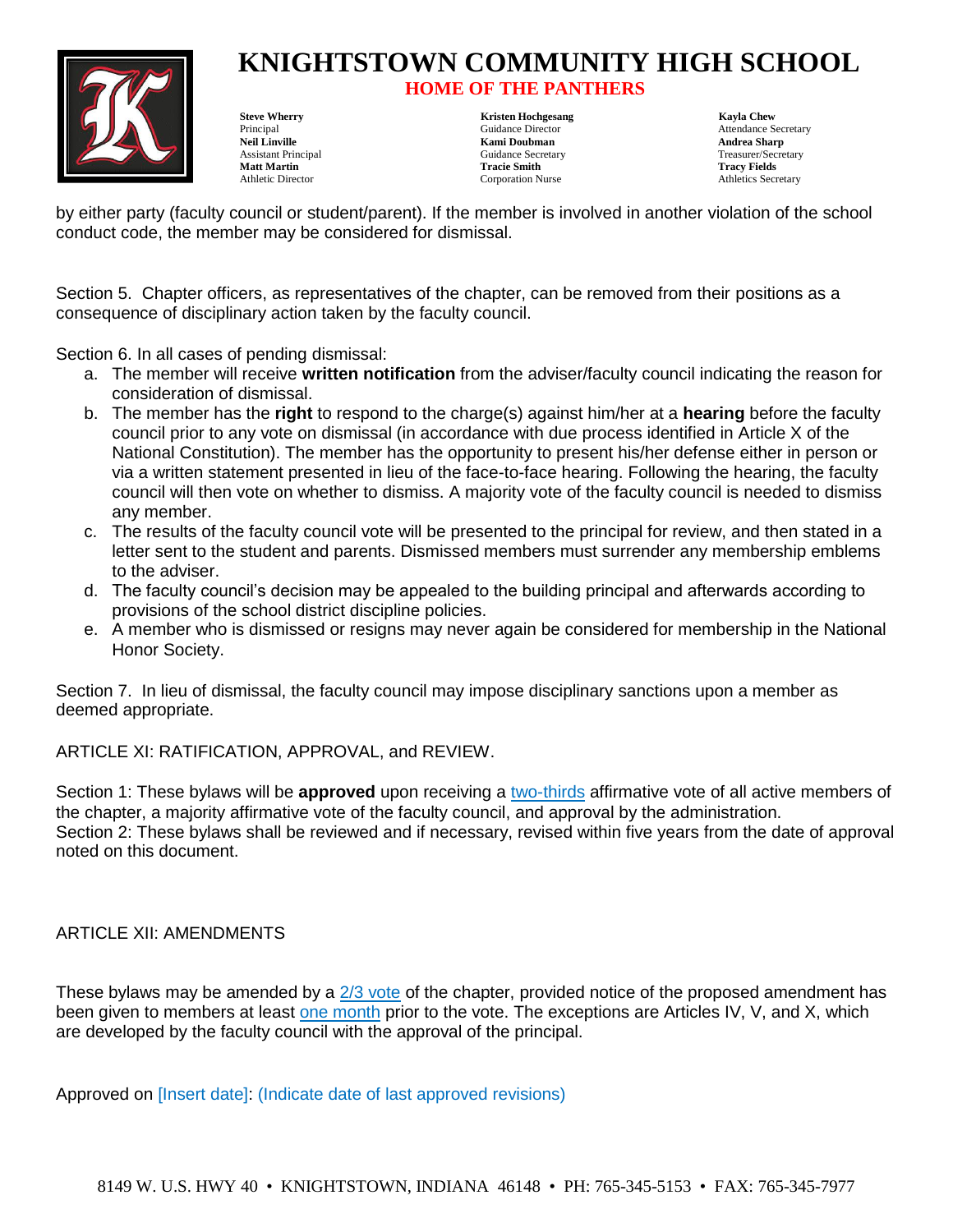

## **HOME OF THE PANTHERS**

**Neil Linville Kami Doubman Andrea Sharp** Assistant Principal **Assistant Principal Culturer** Guidance Secretary **Treasurer/Secretary** Treasurer/Secretary **Matt Martin Tracie Smith Tracy Fields** Athletic Director Corporation Nurse Athletics Secretary

**Steve Wherry Chemical Chemical Chemical Chemical Chemical Chemical Chemical Chemical Chemical Chemical Chemical Chemical Chemical Chemical Chemical Chemical Chemical Chemical Chemical Chemical Chemical Chemical Chemical C** 

Principal Cuidance Director Attendance Secretary Attendance Secretary

by either party (faculty council or student/parent). If the member is involved in another violation of the school conduct code, the member may be considered for dismissal.

Section 5. Chapter officers, as representatives of the chapter, can be removed from their positions as a consequence of disciplinary action taken by the faculty council.

Section 6. In all cases of pending dismissal:

- a. The member will receive **written notification** from the adviser/faculty council indicating the reason for consideration of dismissal.
- b. The member has the **right** to respond to the charge(s) against him/her at a **hearing** before the faculty council prior to any vote on dismissal (in accordance with due process identified in Article X of the National Constitution). The member has the opportunity to present his/her defense either in person or via a written statement presented in lieu of the face-to-face hearing. Following the hearing, the faculty council will then vote on whether to dismiss. A majority vote of the faculty council is needed to dismiss any member.
- c. The results of the faculty council vote will be presented to the principal for review, and then stated in a letter sent to the student and parents. Dismissed members must surrender any membership emblems to the adviser.
- d. The faculty council's decision may be appealed to the building principal and afterwards according to provisions of the school district discipline policies.
- e. A member who is dismissed or resigns may never again be considered for membership in the National Honor Society.

Section 7. In lieu of dismissal, the faculty council may impose disciplinary sanctions upon a member as deemed appropriate.

ARTICLE XI: RATIFICATION, APPROVAL, and REVIEW.

Section 1: These bylaws will be **approved** upon receiving a two-thirds affirmative vote of all active members of the chapter, a majority affirmative vote of the faculty council, and approval by the administration. Section 2: These bylaws shall be reviewed and if necessary, revised within five years from the date of approval noted on this document.

#### ARTICLE XII: AMENDMENTS

These bylaws may be amended by a  $2/3$  vote of the chapter, provided notice of the proposed amendment has been given to members at least one month prior to the vote. The exceptions are Articles IV, V, and X, which are developed by the faculty council with the approval of the principal.

Approved on [Insert date]: (Indicate date of last approved revisions)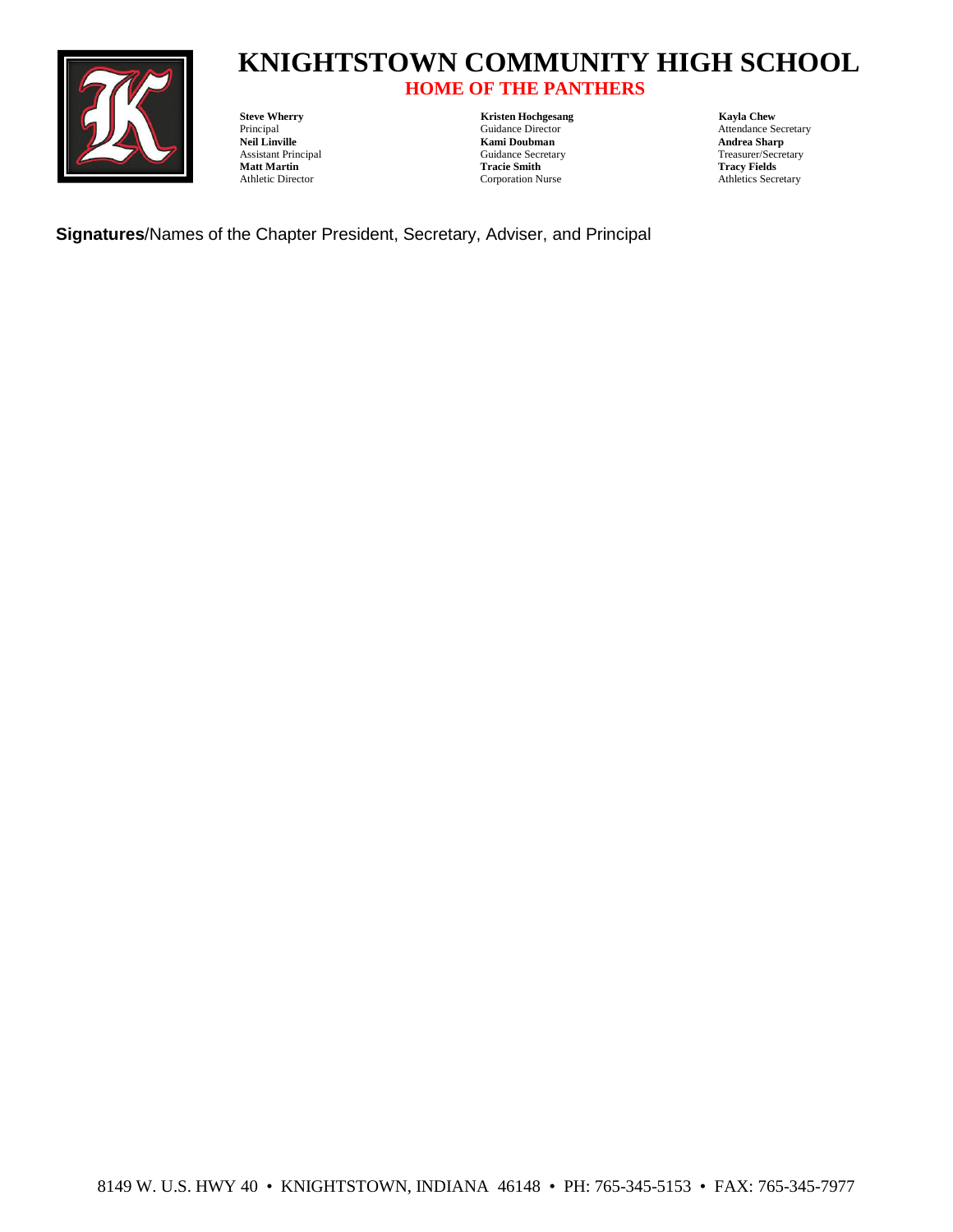

# **HOME OF THE PANTHERS**

Matt Martin Tracie Smith<br>
Athletic Director<br>
Corporation Nurse

**Steve Wherry Chemical Constant Constant Constant Constant Constant Constant Constant Constant Constant Constant Constant Constant Constant Constant Constant Constant Constant Constant Constant Constant Constant Constant C Neil Linville Neil and Sharp**<br> **Neil Linville Kami Doubman Andrea Sharp**<br>
Assistant Principal Contract Contract Contract Contract Contract Contract Contract Contract Contract Contract Contract Contract Contract Contract C Assistant Principal Guidance Secretary Treasurer/Secretary Tracistant Principal Guidance Secretary Treasurer/Secretary Treasurer/Secretary Treasurer/Secretary Treasurer/Secretary Treasurer/Secretary Treasurer/Secretary Tre

Principal Cuidance Director Attendance Secretary Neil Linville (Secretary Neil Linville Andrea Sharp Attendance Secretary Neil Linville (Secretary Attendance Secretary Neil Linville (Secretary Attendance Secretary Andrea S Athletics Secretary

**Signatures**/Names of the Chapter President, Secretary, Adviser, and Principal